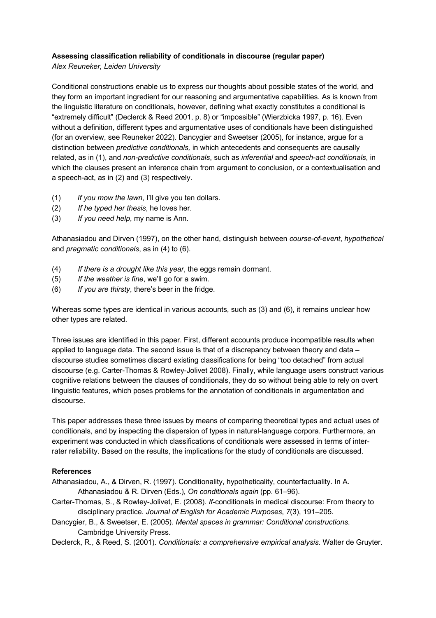## **Assessing classification reliability of conditionals in discourse (regular paper)**

*Alex Reuneker, Leiden University*

Conditional constructions enable us to express our thoughts about possible states of the world, and they form an important ingredient for our reasoning and argumentative capabilities. As is known from the linguistic literature on conditionals, however, defining what exactly constitutes a conditional is "extremely difficult" (Declerck & Reed 2001, p. 8) or "impossible" (Wierzbicka 1997, p. 16). Even without a definition, different types and argumentative uses of conditionals have been distinguished (for an overview, see Reuneker 2022). Dancygier and Sweetser (2005), for instance, argue for a distinction between *predictive conditionals,* in which antecedents and consequents are causally related, as in (1), and *non-predictive conditionals*, such as *inferential* and *speech-act conditionals*, in which the clauses present an inference chain from argument to conclusion, or a contextualisation and a speech-act, as in (2) and (3) respectively.

- (1) *If you mow the lawn*, I'll give you ten dollars.
- (2) *If he typed her thesis*, he loves her.
- (3) *If you need help*, my name is Ann.

Athanasiadou and Dirven (1997), on the other hand, distinguish between *course-of-event*, *hypothetical* and *pragmatic conditionals*, as in (4) to (6).

- (4) *If there is a drought like this year*, the eggs remain dormant.
- (5) *If the weather is fine*, we'll go for a swim.
- (6) *If you are thirsty*, there's beer in the fridge.

Whereas some types are identical in various accounts, such as (3) and (6), it remains unclear how other types are related.

Three issues are identified in this paper. First, different accounts produce incompatible results when applied to language data. The second issue is that of a discrepancy between theory and data – discourse studies sometimes discard existing classifications for being "too detached" from actual discourse (e.g. Carter-Thomas & Rowley-Jolivet 2008). Finally, while language users construct various cognitive relations between the clauses of conditionals, they do so without being able to rely on overt linguistic features, which poses problems for the annotation of conditionals in argumentation and discourse.

This paper addresses these three issues by means of comparing theoretical types and actual uses of conditionals, and by inspecting the dispersion of types in natural-language corpora. Furthermore, an experiment was conducted in which classifications of conditionals were assessed in terms of interrater reliability. Based on the results, the implications for the study of conditionals are discussed.

## **References**

- Athanasiadou, A., & Dirven, R. (1997). Conditionality, hypotheticality, counterfactuality. In A. Athanasiadou & R. Dirven (Eds.), *On conditionals again* (pp. 61–96).
- Carter-Thomas, S., & Rowley-Jolivet, E. (2008). *If*-conditionals in medical discourse: From theory to disciplinary practice. *Journal of English for Academic Purposes*, *7*(3), 191–205.
- Dancygier, B., & Sweetser, E. (2005). *Mental spaces in grammar: Conditional constructions*. Cambridge University Press.

Declerck, R., & Reed, S. (2001). *Conditionals: a comprehensive empirical analysis*. Walter de Gruyter.